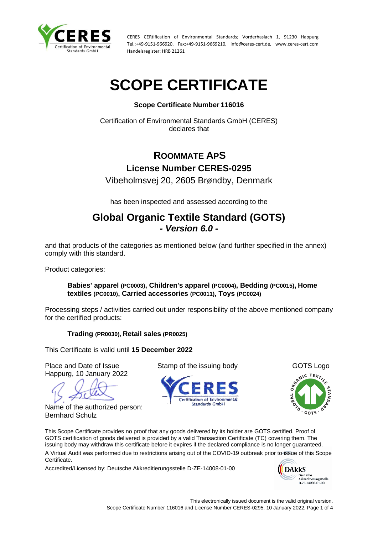

# **SCOPE CERTIFICATE**

#### **Scope Certificate Number 116016**

Certification of Environmental Standards GmbH (CERES) declares that

## **ROOMMATE APS License Number CERES-0295**

Vibeholmsvej 20, 2605 Brøndby, Denmark

has been inspected and assessed according to the

### **Global Organic Textile Standard (GOTS)** *- Version 6.0 -*

and that products of the categories as mentioned below (and further specified in the annex) comply with this standard.

Product categories:

#### **Babies' apparel (PC0003), Children's apparel (PC0004), Bedding (PC0015), Home textiles (PC0010), Carried accessories (PC0011), Toys (PC0024)**

Processing steps / activities carried out under responsibility of the above mentioned company for the certified products:

**Trading (PR0030), Retail sales (PR0025)**

This Certificate is valid until **15 December 2022**

Place and Date of Issue Stamp of the issuing body GOTS Logo Happurg, 10 January 2022

Name of the authorized person: Bernhard Schulz





This Scope Certificate provides no proof that any goods delivered by its holder are GOTS certified. Proof of GOTS certification of goods delivered is provided by a valid Transaction Certificate (TC) covering them. The issuing body may withdraw this certificate before it expires if the declared compliance is no longer guaranteed. A Virtual Audit was performed due to restrictions arising out of the COVID-19 outbreak prior to issue of this Scope Certificate.

Accredited/Licensed by: Deutsche Akkreditierungsstelle D-ZE-14008-01-00

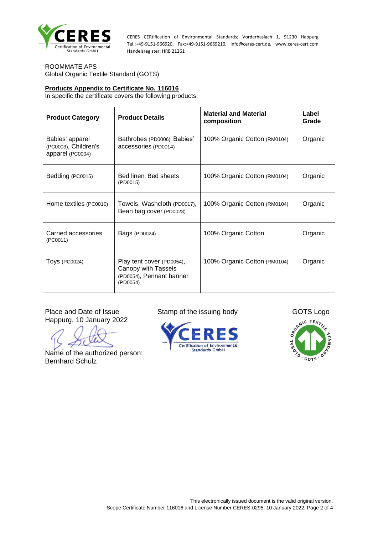

ROOMMATE APS Global Organic Textile Standard (GOTS)

#### **Products Appendix to Certificate No. 116016**

In specific the certificate covers the following products:

| <b>Product Category</b>                                     | <b>Product Details</b>                                                                   | <b>Material and Material</b><br>composition | Label<br>Grade |
|-------------------------------------------------------------|------------------------------------------------------------------------------------------|---------------------------------------------|----------------|
| Babies' apparel<br>(PC0003), Children's<br>apparel (PC0004) | Bathrobes (PD0006), Babies'<br>accessories (PD0014)                                      | 100% Organic Cotton (RM0104)                | Organic        |
| Bedding (PC0015)                                            | Bed linen, Bed sheets<br>(PD0015)                                                        | 100% Organic Cotton (RM0104)                | Organic        |
| Home textiles (PC0010)                                      | Towels, Washcloth (PD0017),<br>Bean bag cover (PD0023)                                   | 100% Organic Cotton (RM0104)                | Organic        |
| Carried accessories<br>(PC0011)                             | Bags (PD0024)                                                                            | 100% Organic Cotton                         | Organic        |
| <b>Toys (PC0024)</b>                                        | Play tent cover (PD0054),<br>Canopy with Tassels<br>(PD0054), Pennant banner<br>(PD0054) | 100% Organic Cotton (RM0104)                | Organic        |

Happurg, 10 January 2022

Name of the authorized person: Bernhard Schulz

Place and Date of Issue Stamp of the issuing body GOTS Logo





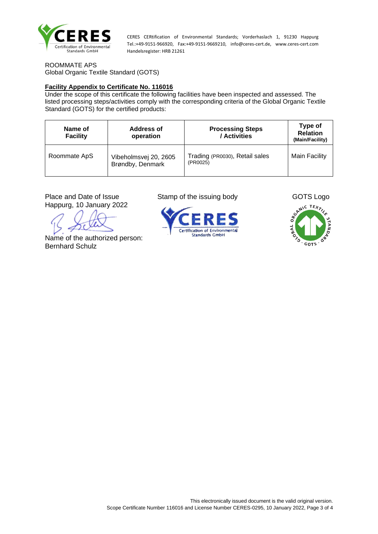

ROOMMATE APS Global Organic Textile Standard (GOTS)

#### **Facility Appendix to Certificate No. 116016**

Under the scope of this certificate the following facilities have been inspected and assessed. The listed processing steps/activities comply with the corresponding criteria of the Global Organic Textile Standard (GOTS) for the certified products:

| Name of<br><b>Facility</b> | <b>Address of</b><br>operation            | <b>Processing Steps</b><br>/ Activities    | Type of<br><b>Relation</b><br>(Main/Facility) |
|----------------------------|-------------------------------------------|--------------------------------------------|-----------------------------------------------|
| Roommate ApS               | Vibeholmsvej 20, 2605<br>Brøndby, Denmark | Trading (PR0030), Retail sales<br>(PR0025) | <b>Main Facility</b>                          |

Happurg, 10 January 2022

Name of the authorized person: Bernhard Schulz

Place and Date of Issue Stamp of the issuing body GOTS Logo